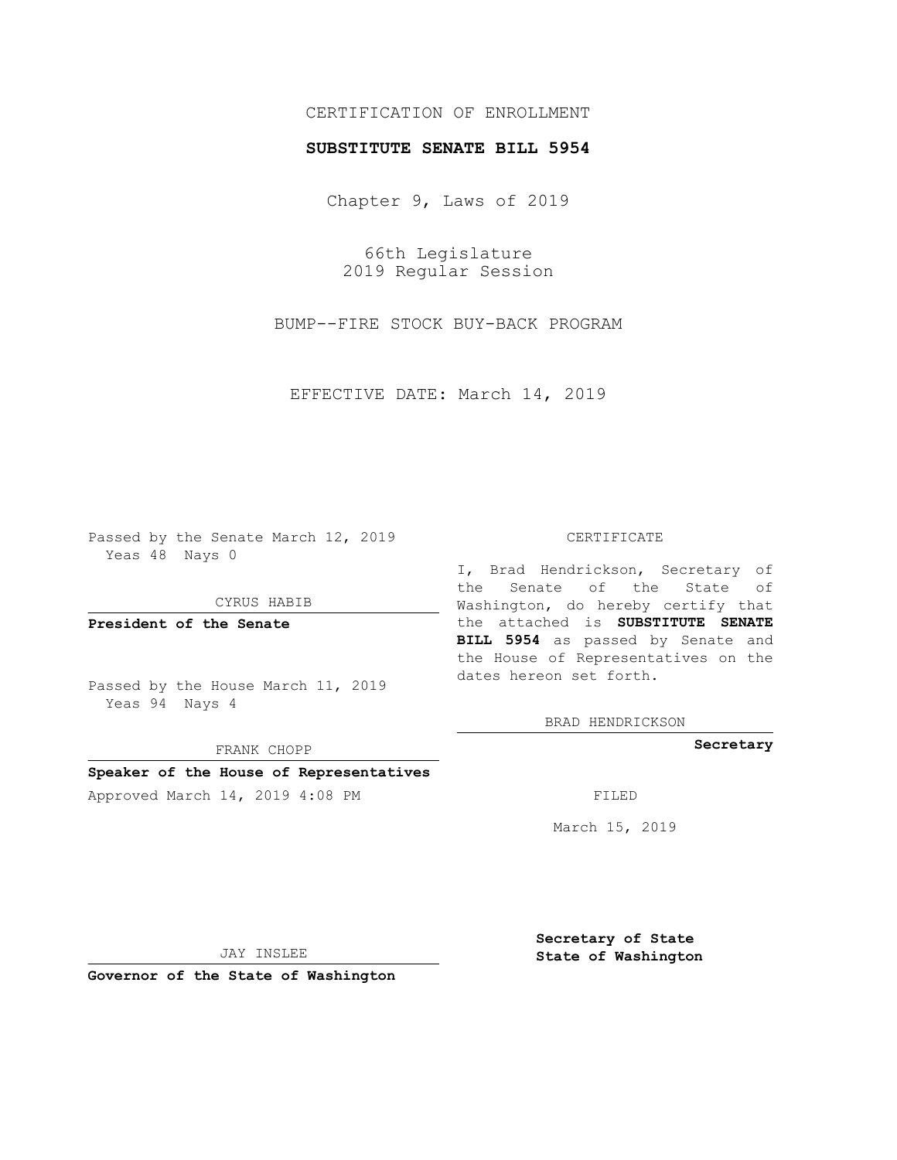## CERTIFICATION OF ENROLLMENT

## **SUBSTITUTE SENATE BILL 5954**

Chapter 9, Laws of 2019

66th Legislature 2019 Regular Session

BUMP--FIRE STOCK BUY-BACK PROGRAM

EFFECTIVE DATE: March 14, 2019

Passed by the Senate March 12, 2019 Yeas 48 Nays 0

CYRUS HABIB

**President of the Senate**

Passed by the House March 11, 2019 Yeas 94 Nays 4

FRANK CHOPP

## **Speaker of the House of Representatives**

Approved March 14, 2019 4:08 PM FILED

#### CERTIFICATE

I, Brad Hendrickson, Secretary of the Senate of the State of Washington, do hereby certify that the attached is **SUBSTITUTE SENATE BILL 5954** as passed by Senate and the House of Representatives on the dates hereon set forth.

BRAD HENDRICKSON

**Secretary**

March 15, 2019

JAY INSLEE

**Governor of the State of Washington**

**Secretary of State State of Washington**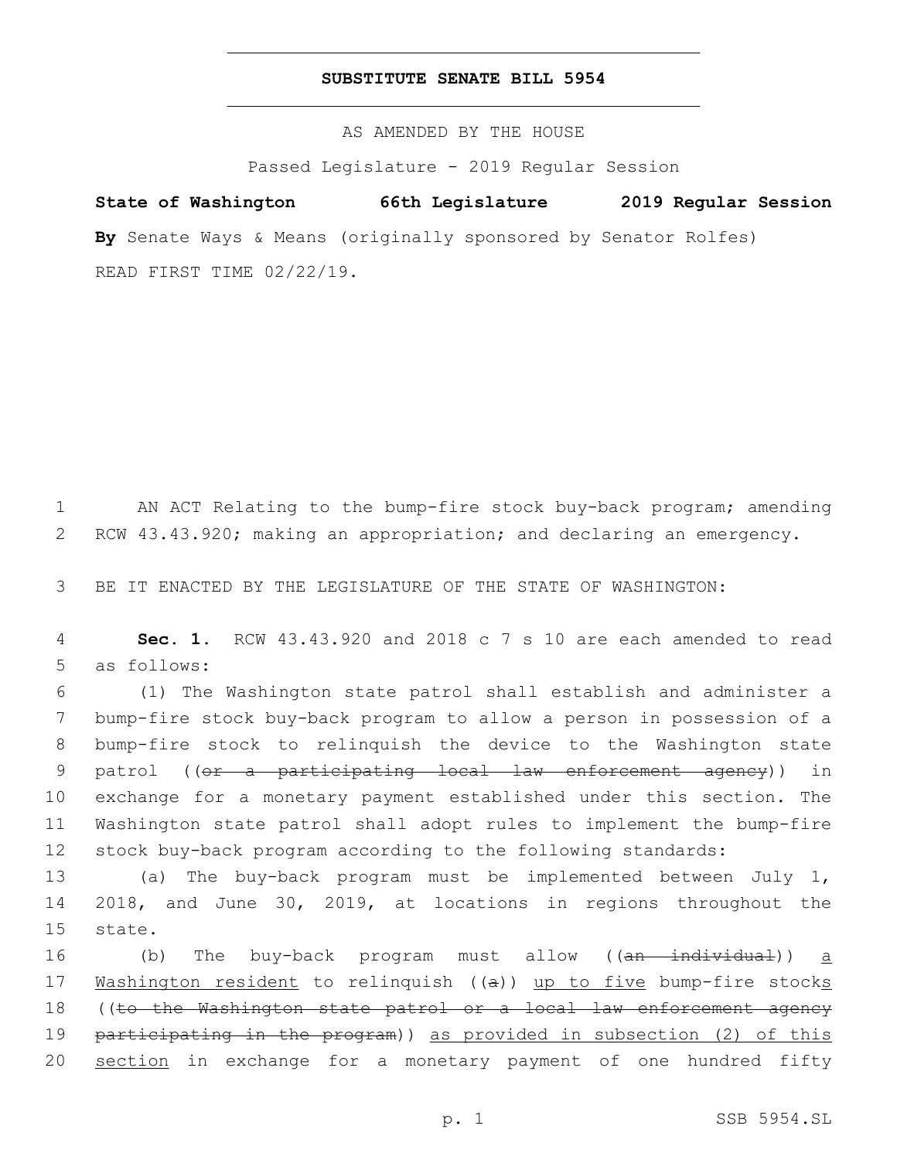## **SUBSTITUTE SENATE BILL 5954**

AS AMENDED BY THE HOUSE

Passed Legislature - 2019 Regular Session

# **State of Washington 66th Legislature 2019 Regular Session By** Senate Ways & Means (originally sponsored by Senator Rolfes)

READ FIRST TIME 02/22/19.

1 AN ACT Relating to the bump-fire stock buy-back program; amending 2 RCW 43.43.920; making an appropriation; and declaring an emergency.

3 BE IT ENACTED BY THE LEGISLATURE OF THE STATE OF WASHINGTON:

4 **Sec. 1.** RCW 43.43.920 and 2018 c 7 s 10 are each amended to read 5 as follows:

 (1) The Washington state patrol shall establish and administer a bump-fire stock buy-back program to allow a person in possession of a bump-fire stock to relinquish the device to the Washington state 9 patrol ((or a participating local law enforcement agency)) in exchange for a monetary payment established under this section. The Washington state patrol shall adopt rules to implement the bump-fire stock buy-back program according to the following standards:

13 (a) The buy-back program must be implemented between July 1, 14 2018, and June 30, 2019, at locations in regions throughout the 15 state.

16 (b) The buy-back program must allow ((<del>an individual</del>)) <u>a</u> 17 Washington resident to relinquish ((a)) up to five bump-fire stocks 18 ((to the Washington state patrol or a local law enforcement agency 19 participating in the program)) as provided in subsection (2) of this 20 section in exchange for a monetary payment of one hundred fifty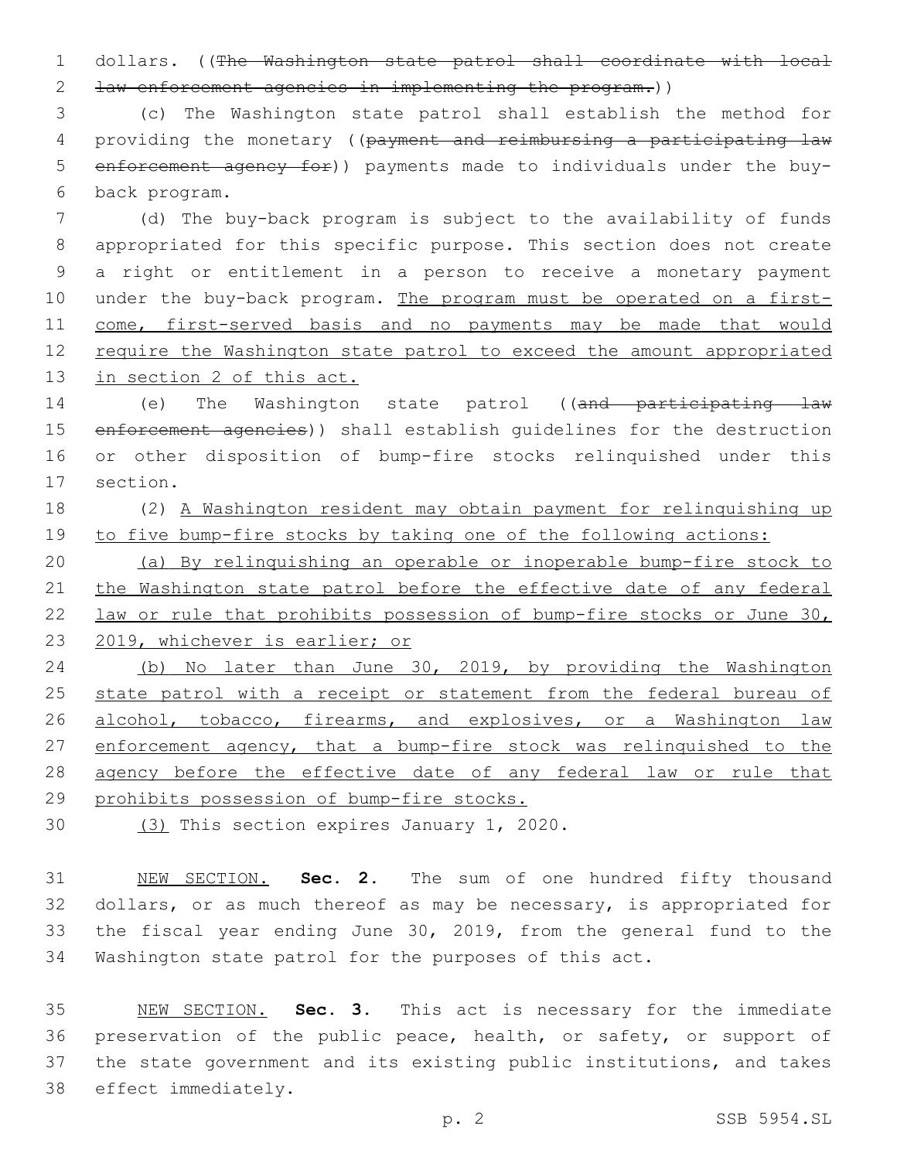1 dollars. ((The Washington state patrol shall coordinate with local 2 law enforcement agencies in implementing the program.))

3 (c) The Washington state patrol shall establish the method for 4 providing the monetary ((payment and reimbursing a participating law 5 enforcement agency for)) payments made to individuals under the buyback program.6

 (d) The buy-back program is subject to the availability of funds appropriated for this specific purpose. This section does not create a right or entitlement in a person to receive a monetary payment under the buy-back program. The program must be operated on a first-11 come, first-served basis and no payments may be made that would 12 require the Washington state patrol to exceed the amount appropriated in section 2 of this act.

14 (e) The Washington state patrol ((and participating law 15 enforcement agencies)) shall establish quidelines for the destruction 16 or other disposition of bump-fire stocks relinquished under this 17 section.

18 (2) A Washington resident may obtain payment for relinquishing up 19 to five bump-fire stocks by taking one of the following actions:

 (a) By relinquishing an operable or inoperable bump-fire stock to 21 the Washington state patrol before the effective date of any federal law or rule that prohibits possession of bump-fire stocks or June 30, 2019, whichever is earlier; or

24 (b) No later than June 30, 2019, by providing the Washington 25 state patrol with a receipt or statement from the federal bureau of 26 alcohol, tobacco, firearms, and explosives, or a Washington law 27 enforcement agency, that a bump-fire stock was relinquished to the 28 agency before the effective date of any federal law or rule that 29 prohibits possession of bump-fire stocks.

30 (3) This section expires January 1, 2020.

 NEW SECTION. **Sec. 2.** The sum of one hundred fifty thousand dollars, or as much thereof as may be necessary, is appropriated for the fiscal year ending June 30, 2019, from the general fund to the Washington state patrol for the purposes of this act.

 NEW SECTION. **Sec. 3.** This act is necessary for the immediate preservation of the public peace, health, or safety, or support of the state government and its existing public institutions, and takes effect immediately.